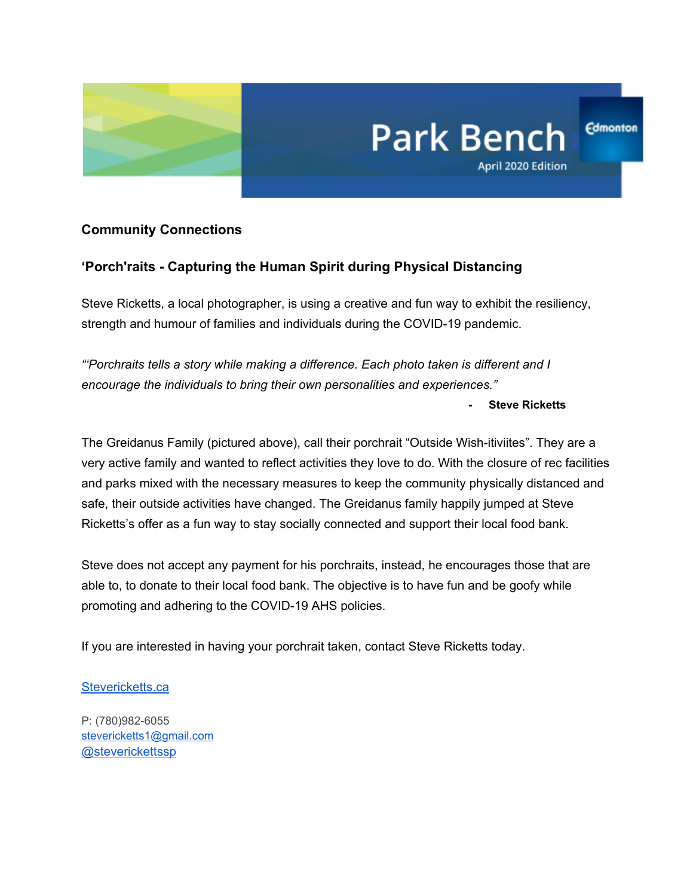

# **Community Connections**

## **'Porch'raits - Capturing the Human Spirit during Physical Distancing**

Steve Ricketts, a local photographer, is using a creative and fun way to exhibit the resiliency, strength and humour of families and individuals during the COVID-19 pandemic.

*"'Porchraits tells a story while making a difference. Each photo taken is different and I encourage the individuals to bring their own personalities and experiences."*

**- Steve Ricketts**

April 2020 Edition

**Park Bench** 

**Edmonton** 

The Greidanus Family (pictured above), call their porchrait "Outside Wish-itiviites". They are a very active family and wanted to reflect activities they love to do. With the closure of rec facilities and parks mixed with the necessary measures to keep the community physically distanced and safe, their outside activities have changed. The Greidanus family happily jumped at Steve Ricketts's offer as a fun way to stay socially connected and support their local food bank.

Steve does not accept any payment for his porchraits, instead, he encourages those that are able to, to donate to their local food bank. The objective is to have fun and be goofy while promoting and adhering to the COVID-19 AHS policies.

If you are interested in having your porchrait taken, contact Steve Ricketts today.

#### [Stevericketts.ca](https://www.stevericketts.ca/)

P: (780)982-6055 [stevericketts1@gmail.com](mailto:stevericketts1@gmail.com) [@steverickettssp](https://twitter.com/SteveRickettsSP)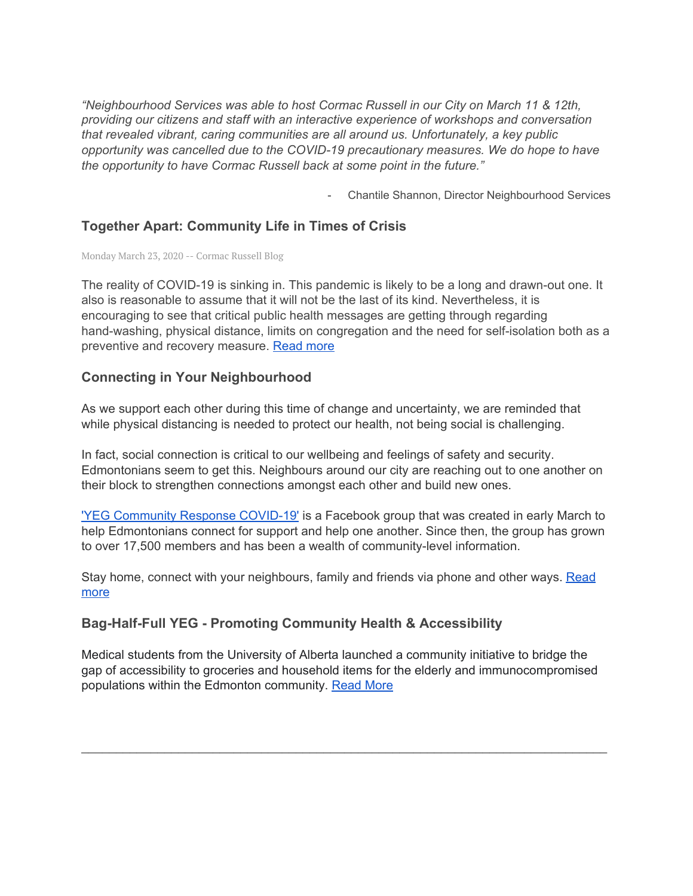*"Neighbourhood Services was able to host Cormac Russell in our City on March 11 & 12th, providing our citizens and staff with an interactive experience of workshops and conversation that revealed vibrant, caring communities are all around us. Unfortunately, a key public opportunity was cancelled due to the COVID-19 precautionary measures. We do hope to have the opportunity to have Cormac Russell back at some point in the future."*

Chantile Shannon, Director Neighbourhood Services

## **Together Apart: Community Life in Times of Crisis**

Monday March 23, 2020 -- Cormac Russell Blog

The reality of COVID-19 is sinking in. This pandemic is likely to be a long and drawn-out one. It also is reasonable to assume that it will not be the last of its kind. Nevertheless, it is encouraging to see that critical public health messages are getting through regarding hand-washing, physical distance, limits on congregation and the need for self-isolation both as a preventive and recovery measure. [Read](http://axiomnews.com/together-apart-community-life-times-crisis-0) more

## **Connecting in Your Neighbourhood**

As we support each other during this time of change and uncertainty, we are reminded that while physical distancing is needed to protect our health, not being social is challenging.

In fact, social connection is critical to our wellbeing and feelings of safety and security. Edmontonians seem to get this. Neighbours around our city are reaching out to one another on their block to strengthen connections amongst each other and build new ones.

'YEG [Community](https://www.facebook.com/groups/209788323463176/) Response COVID-19' is a Facebook group that was created in early March to help Edmontonians connect for support and help one another. Since then, the group has grown to over 17,500 members and has been a wealth of community-level information.

Stay home, connect with your neighbours, family and friends via phone and other ways. [Read](https://ca.nextdoor.com/post/52776558442915?init_source=copy_link_share) [more](https://ca.nextdoor.com/post/52776558442915?init_source=copy_link_share)

# **Bag-Half-Full YEG - Promoting Community Health & Accessibility**

Medical students from the University of Alberta launched a community initiative to bridge the gap of accessibility to groceries and household items for the elderly and immunocompromised populations within the Edmonton community. [Read](https://docs.google.com/forms/d/e/1FAIpQLSeOBASiNdJr6FAvfo0XUwu-uCV7aSx4jBVjTq74VqTrM-vpNg/viewform) More

\_\_\_\_\_\_\_\_\_\_\_\_\_\_\_\_\_\_\_\_\_\_\_\_\_\_\_\_\_\_\_\_\_\_\_\_\_\_\_\_\_\_\_\_\_\_\_\_\_\_\_\_\_\_\_\_\_\_\_\_\_\_\_\_\_\_\_\_\_\_\_\_\_\_\_\_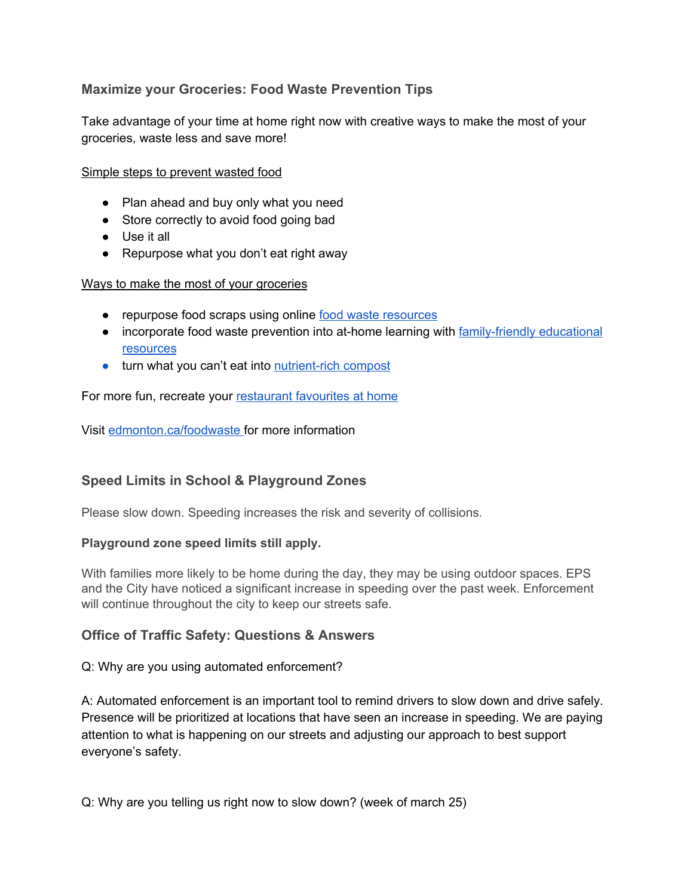# **Maximize your Groceries: Food Waste Prevention Tips**

Take advantage of your time at home right now with creative ways to make the most of your groceries, waste less and save more!

#### Simple steps to prevent wasted food

- Plan ahead and buy only what you need
- Store correctly to avoid food going bad
- Use it all
- Repurpose what you don't eat right away

#### Ways to make the most of your groceries

- repurpose food scraps using online food waste [resources](https://www.youtube.com/watch?v=KjigqiFBEEk)
- incorporate food waste prevention into at-home learning with [family-friendly](https://www.lovefoodhatewaste.com/article/are-you-teacher-looking-inspiration) educational [resources](https://www.lovefoodhatewaste.com/article/are-you-teacher-looking-inspiration)
- turn what you can't eat into [nutrient-rich](https://www.edmonton.ca/residential_neighbourhoods/gardens_lawns_trees/composting.aspx) compost

For more fun, recreate your [restaurant](https://www.thekitchn.com/12-restaurant-favorites-we-re-created-at-home-this-year-22980886) favourites at home

Visit [edmonton.ca/foodwaste](http://edmonton.ca/foodwaste) for more information

# **Speed Limits in School & Playground Zones**

Please slow down. Speeding increases the risk and severity of collisions.

#### **Playground zone speed limits still apply.**

With families more likely to be home during the day, they may be using outdoor spaces. EPS and the City have noticed a significant increase in speeding over the past week. Enforcement will continue throughout the city to keep our streets safe.

#### **Office of Traffic Safety: Questions & Answers**

#### Q: Why are you using automated enforcement?

A: Automated enforcement is an important tool to remind drivers to slow down and drive safely. Presence will be prioritized at locations that have seen an increase in speeding. We are paying attention to what is happening on our streets and adjusting our approach to best support everyone's safety.

Q: Why are you telling us right now to slow down? (week of march 25)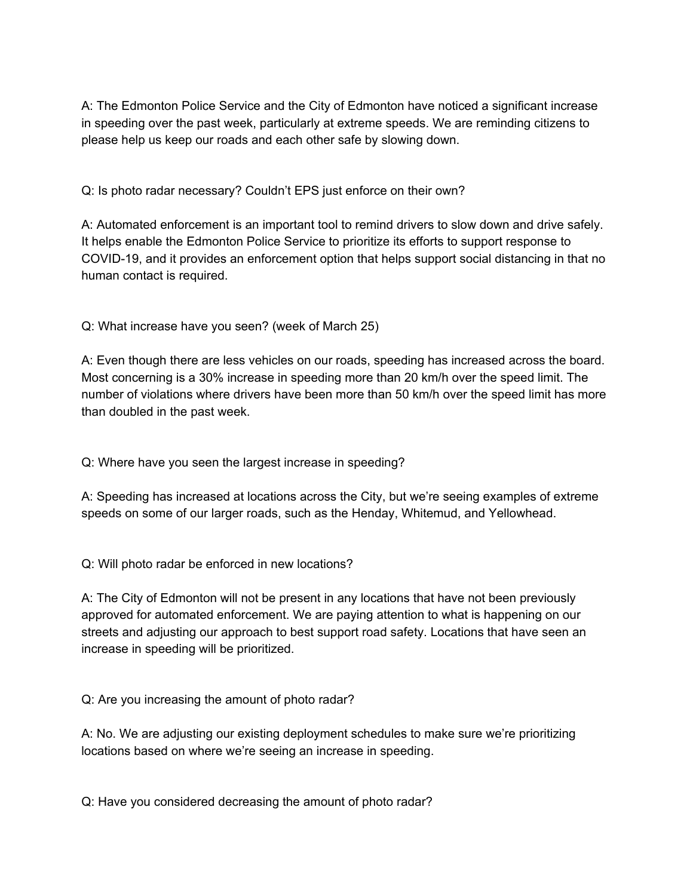A: The Edmonton Police Service and the City of Edmonton have noticed a significant increase in speeding over the past week, particularly at extreme speeds. We are reminding citizens to please help us keep our roads and each other safe by slowing down.

Q: Is photo radar necessary? Couldn't EPS just enforce on their own?

A: Automated enforcement is an important tool to remind drivers to slow down and drive safely. It helps enable the Edmonton Police Service to prioritize its efforts to support response to COVID-19, and it provides an enforcement option that helps support social distancing in that no human contact is required.

Q: What increase have you seen? (week of March 25)

A: Even though there are less vehicles on our roads, speeding has increased across the board. Most concerning is a 30% increase in speeding more than 20 km/h over the speed limit. The number of violations where drivers have been more than 50 km/h over the speed limit has more than doubled in the past week.

Q: Where have you seen the largest increase in speeding?

A: Speeding has increased at locations across the City, but we're seeing examples of extreme speeds on some of our larger roads, such as the Henday, Whitemud, and Yellowhead.

Q: Will photo radar be enforced in new locations?

A: The City of Edmonton will not be present in any locations that have not been previously approved for automated enforcement. We are paying attention to what is happening on our streets and adjusting our approach to best support road safety. Locations that have seen an increase in speeding will be prioritized.

Q: Are you increasing the amount of photo radar?

A: No. We are adjusting our existing deployment schedules to make sure we're prioritizing locations based on where we're seeing an increase in speeding.

Q: Have you considered decreasing the amount of photo radar?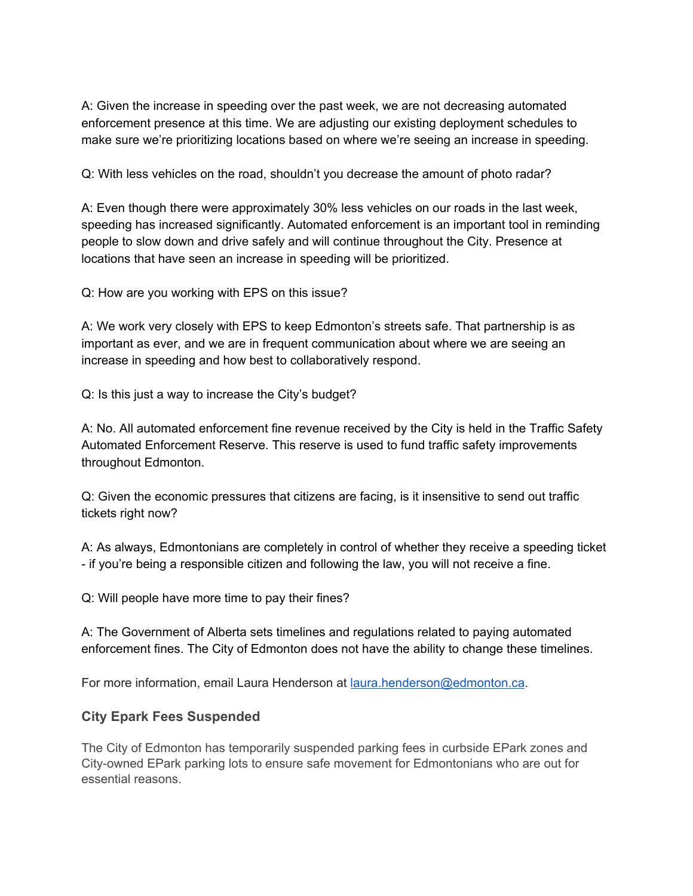A: Given the increase in speeding over the past week, we are not decreasing automated enforcement presence at this time. We are adjusting our existing deployment schedules to make sure we're prioritizing locations based on where we're seeing an increase in speeding.

Q: With less vehicles on the road, shouldn't you decrease the amount of photo radar?

A: Even though there were approximately 30% less vehicles on our roads in the last week, speeding has increased significantly. Automated enforcement is an important tool in reminding people to slow down and drive safely and will continue throughout the City. Presence at locations that have seen an increase in speeding will be prioritized.

Q: How are you working with EPS on this issue?

A: We work very closely with EPS to keep Edmonton's streets safe. That partnership is as important as ever, and we are in frequent communication about where we are seeing an increase in speeding and how best to collaboratively respond.

Q: Is this just a way to increase the City's budget?

A: No. All automated enforcement fine revenue received by the City is held in the Traffic Safety Automated Enforcement Reserve. This reserve is used to fund traffic safety improvements throughout Edmonton.

Q: Given the economic pressures that citizens are facing, is it insensitive to send out traffic tickets right now?

A: As always, Edmontonians are completely in control of whether they receive a speeding ticket - if you're being a responsible citizen and following the law, you will not receive a fine.

Q: Will people have more time to pay their fines?

A: The Government of Alberta sets timelines and regulations related to paying automated enforcement fines. The City of Edmonton does not have the ability to change these timelines.

For more information, email Laura Henderson at [laura.henderson@edmonton.ca.](mailto:laura.henderson@edmonton.ca)

#### **City Epark Fees Suspended**

The City of Edmonton has temporarily suspended parking fees in curbside EPark zones and City-owned EPark parking lots to ensure safe movement for Edmontonians who are out for essential reasons.